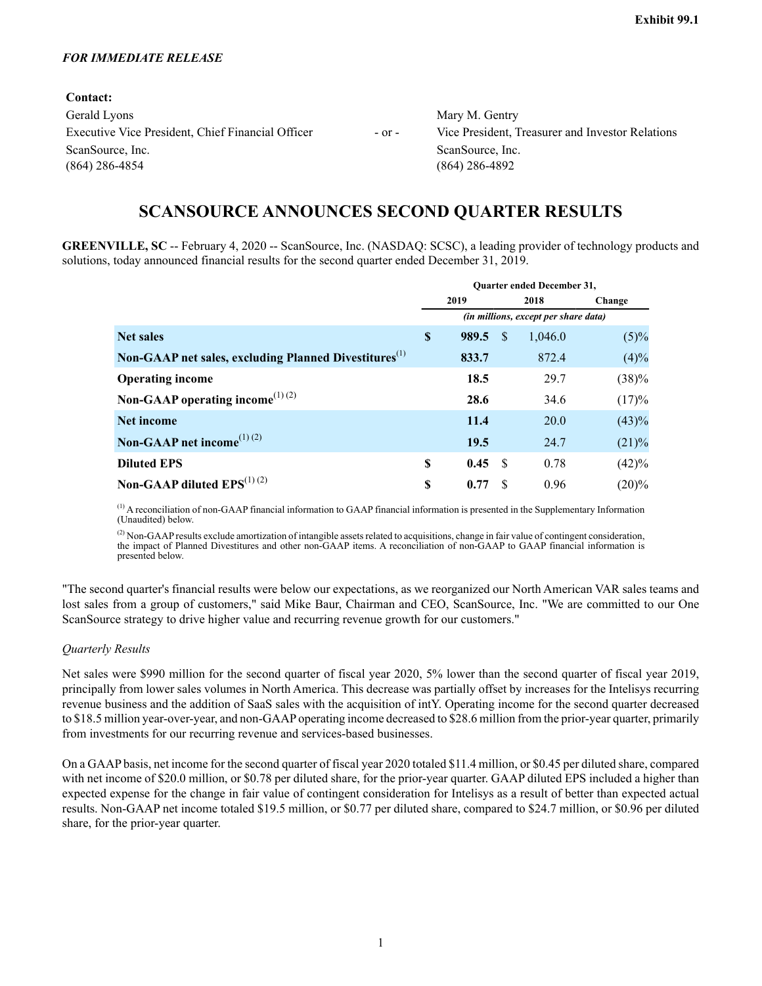#### *FOR IMMEDIATE RELEASE*

| Contact:                                          |            |                                                  |
|---------------------------------------------------|------------|--------------------------------------------------|
| Gerald Lyons                                      |            | Mary M. Gentry                                   |
| Executive Vice President, Chief Financial Officer | $-$ or $-$ | Vice President, Treasurer and Investor Relations |
| ScanSource, Inc.                                  |            | ScanSource, Inc.                                 |
| $(864)$ 286-4854                                  |            | $(864)$ 286-4892                                 |
|                                                   |            |                                                  |

# **SCANSOURCE ANNOUNCES SECOND QUARTER RESULTS**

**GREENVILLE, SC** -- February 4, 2020 -- ScanSource, Inc. (NASDAQ: SCSC), a leading provider of technology products and solutions, today announced financial results for the second quarter ended December 31, 2019.

|                                                                   | <b>Ouarter ended December 31,</b> |                                      |    |         |          |  |  |  |  |  |  |
|-------------------------------------------------------------------|-----------------------------------|--------------------------------------|----|---------|----------|--|--|--|--|--|--|
|                                                                   |                                   | 2019                                 |    | 2018    | Change   |  |  |  |  |  |  |
|                                                                   |                                   | (in millions, except per share data) |    |         |          |  |  |  |  |  |  |
| <b>Net sales</b>                                                  | \$                                | 989.5                                | S  | 1,046.0 | $(5)\%$  |  |  |  |  |  |  |
| Non-GAAP net sales, excluding Planned Divestitures <sup>(1)</sup> |                                   | 833.7                                |    | 872.4   | (4)%     |  |  |  |  |  |  |
| <b>Operating income</b>                                           |                                   | 18.5                                 |    | 29.7    | (38)%    |  |  |  |  |  |  |
| Non-GAAP operating income <sup>(1)(2)</sup>                       |                                   | 28.6                                 |    | 34.6    | (17)%    |  |  |  |  |  |  |
| Net income                                                        |                                   | 11.4                                 |    | 20.0    | (43)%    |  |  |  |  |  |  |
| Non-GAAP net income <sup>(1)(2)</sup>                             |                                   | 19.5                                 |    | 24.7    | (21)%    |  |  |  |  |  |  |
| <b>Diluted EPS</b>                                                | \$                                | 0.45                                 | -S | 0.78    | (42)%    |  |  |  |  |  |  |
| Non-GAAP diluted $EPS^{(1)(2)}$                                   | S                                 | 0.77                                 | S  | 0.96    | $(20)\%$ |  |  |  |  |  |  |

(1) A reconciliation of non-GAAP financial information to GAAP financial information is presented in the Supplementary Information (Unaudited) below.

 $^{(2)}$  Non-GAAP results exclude amortization of intangible assets related to acquisitions, change in fair value of contingent consideration, the impact of Planned Divestitures and other non-GAAP items. A reconciliation of non-GAAP to GAAP financial information is presented below.

"The second quarter's financial results were below our expectations, as we reorganized our North American VAR sales teams and lost sales from a group of customers," said Mike Baur, Chairman and CEO, ScanSource, Inc. "We are committed to our One ScanSource strategy to drive higher value and recurring revenue growth for our customers."

### *Quarterly Results*

Net sales were \$990 million for the second quarter of fiscal year 2020, 5% lower than the second quarter of fiscal year 2019, principally from lower sales volumes in North America. This decrease was partially offset by increases for the Intelisys recurring revenue business and the addition of SaaS sales with the acquisition of intY. Operating income for the second quarter decreased to \$18.5 million year-over-year, and non-GAAPoperating income decreased to \$28.6 million from the prior-year quarter, primarily from investments for our recurring revenue and services-based businesses.

On a GAAPbasis, net income for the second quarter of fiscal year 2020 totaled \$11.4 million, or \$0.45 per diluted share, compared with net income of \$20.0 million, or \$0.78 per diluted share, for the prior-year quarter. GAAP diluted EPS included a higher than expected expense for the change in fair value of contingent consideration for Intelisys as a result of better than expected actual results. Non-GAAPnet income totaled \$19.5 million, or \$0.77 per diluted share, compared to \$24.7 million, or \$0.96 per diluted share, for the prior-year quarter.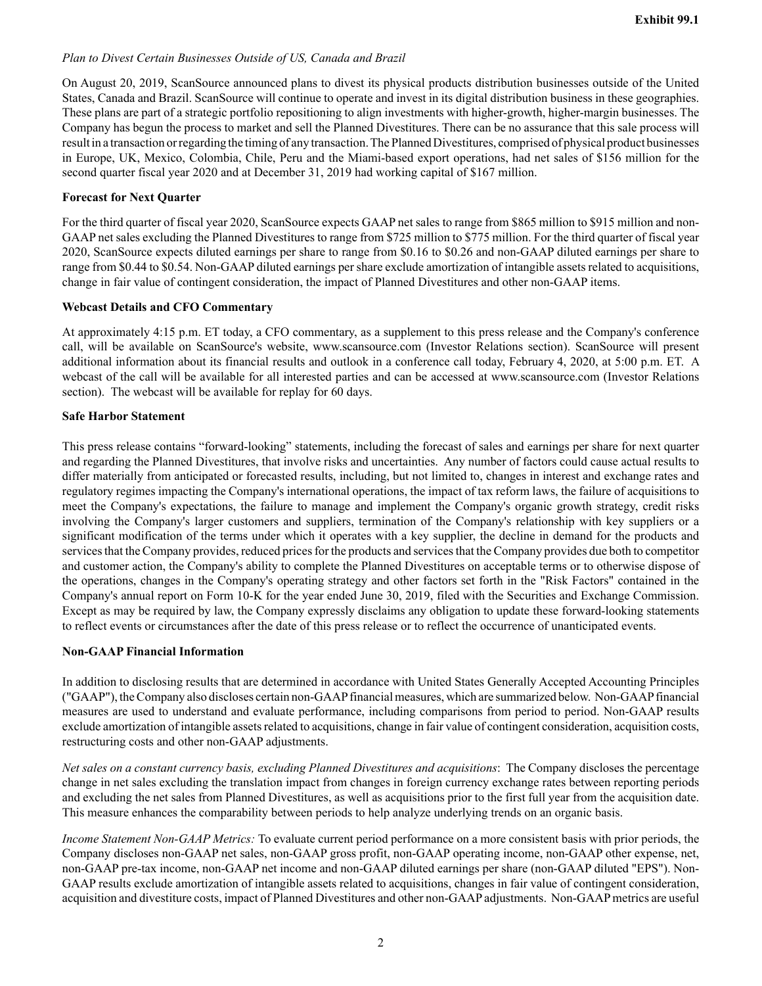## *Plan to Divest Certain Businesses Outside of US, Canada and Brazil*

On August 20, 2019, ScanSource announced plans to divest its physical products distribution businesses outside of the United States, Canada and Brazil. ScanSource will continue to operate and invest in its digital distribution business in these geographies. These plans are part of a strategic portfolio repositioning to align investments with higher-growth, higher-margin businesses. The Company has begun the process to market and sell the Planned Divestitures. There can be no assurance that this sale process will result in a transaction or regarding the timing of any transaction. The Planned Divestitures, comprised of physical product businesses in Europe, UK, Mexico, Colombia, Chile, Peru and the Miami-based export operations, had net sales of \$156 million for the second quarter fiscal year 2020 and at December 31, 2019 had working capital of \$167 million.

### **Forecast for Next Quarter**

For the third quarter of fiscal year 2020, ScanSource expects GAAP net sales to range from \$865 million to \$915 million and non-GAAPnet sales excluding the Planned Divestitures to range from \$725 million to \$775 million. For the third quarter of fiscal year 2020, ScanSource expects diluted earnings per share to range from \$0.16 to \$0.26 and non-GAAP diluted earnings per share to range from \$0.44 to \$0.54. Non-GAAPdiluted earnings per share exclude amortization of intangible assets related to acquisitions, change in fair value of contingent consideration, the impact of Planned Divestitures and other non-GAAP items.

### **Webcast Details and CFO Commentary**

At approximately 4:15 p.m. ET today, a CFO commentary, as a supplement to this press release and the Company's conference call, will be available on ScanSource's website, www.scansource.com (Investor Relations section). ScanSource will present additional information about its financial results and outlook in a conference call today, February 4, 2020, at 5:00 p.m. ET. A webcast of the call will be available for all interested parties and can be accessed at www.scansource.com (Investor Relations section). The webcast will be available for replay for 60 days.

### **Safe Harbor Statement**

This press release contains "forward-looking" statements, including the forecast of sales and earnings per share for next quarter and regarding the Planned Divestitures, that involve risks and uncertainties. Any number of factors could cause actual results to differ materially from anticipated or forecasted results, including, but not limited to, changes in interest and exchange rates and regulatory regimes impacting the Company's international operations, the impact of tax reform laws, the failure of acquisitions to meet the Company's expectations, the failure to manage and implement the Company's organic growth strategy, credit risks involving the Company's larger customers and suppliers, termination of the Company's relationship with key suppliers or a significant modification of the terms under which it operates with a key supplier, the decline in demand for the products and services that the Company provides, reduced prices for the products and services that the Company provides due both to competitor and customer action, the Company's ability to complete the Planned Divestitures on acceptable terms or to otherwise dispose of the operations, changes in the Company's operating strategy and other factors set forth in the "Risk Factors" contained in the Company's annual report on Form 10-K for the year ended June 30, 2019, filed with the Securities and Exchange Commission. Except as may be required by law, the Company expressly disclaims any obligation to update these forward-looking statements to reflect events or circumstances after the date of this press release or to reflect the occurrence of unanticipated events.

### **Non-GAAP Financial Information**

In addition to disclosing results that are determined in accordance with United States Generally Accepted Accounting Principles ("GAAP"), the Company also discloses certain non-GAAPfinancial measures, which are summarized below. Non-GAAPfinancial measures are used to understand and evaluate performance, including comparisons from period to period. Non-GAAP results exclude amortization of intangible assets related to acquisitions, change in fair value of contingent consideration, acquisition costs, restructuring costs and other non-GAAP adjustments.

*Net sales on a constant currency basis, excluding Planned Divestitures and acquisitions*: The Company discloses the percentage change in net sales excluding the translation impact from changes in foreign currency exchange rates between reporting periods and excluding the net sales from Planned Divestitures, as well as acquisitions prior to the first full year from the acquisition date. This measure enhances the comparability between periods to help analyze underlying trends on an organic basis.

*Income Statement Non-GAAP Metrics:* To evaluate current period performance on a more consistent basis with prior periods, the Company discloses non-GAAP net sales, non-GAAP gross profit, non-GAAP operating income, non-GAAP other expense, net, non-GAAP pre-tax income, non-GAAP net income and non-GAAP diluted earnings per share (non-GAAP diluted "EPS"). Non-GAAPresults exclude amortization of intangible assets related to acquisitions, changes in fair value of contingent consideration, acquisition and divestiture costs, impact of Planned Divestitures and other non-GAAP adjustments. Non-GAAP metrics are useful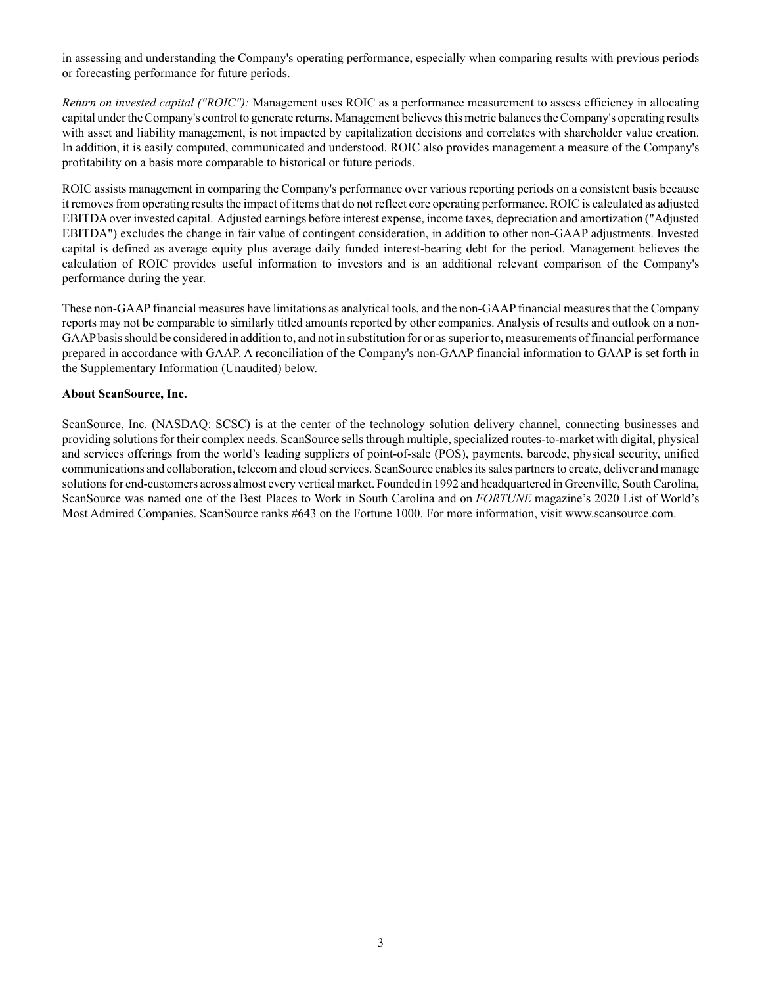in assessing and understanding the Company's operating performance, especially when comparing results with previous periods or forecasting performance for future periods.

*Return on invested capital ("ROIC"):* Management uses ROIC as a performance measurement to assess efficiency in allocating capital under the Company's control to generate returns. Management believes this metric balances the Company's operating results with asset and liability management, is not impacted by capitalization decisions and correlates with shareholder value creation. In addition, it is easily computed, communicated and understood. ROIC also provides management a measure of the Company's profitability on a basis more comparable to historical or future periods.

ROIC assists management in comparing the Company's performance over various reporting periods on a consistent basis because it removes from operating results the impact of items that do not reflect core operating performance. ROIC is calculated as adjusted EBITDAover invested capital. Adjusted earnings before interest expense, income taxes, depreciation and amortization ("Adjusted EBITDA") excludes the change in fair value of contingent consideration, in addition to other non-GAAP adjustments. Invested capital is defined as average equity plus average daily funded interest-bearing debt for the period. Management believes the calculation of ROIC provides useful information to investors and is an additional relevant comparison of the Company's performance during the year.

These non-GAAPfinancial measures have limitations as analytical tools, and the non-GAAPfinancial measures that the Company reports may not be comparable to similarly titled amounts reported by other companies. Analysis of results and outlook on a non-GAAPbasis should be considered in addition to, and not in substitution for or as superior to, measurements of financial performance prepared in accordance with GAAP. A reconciliation of the Company's non-GAAP financial information to GAAP is set forth in the Supplementary Information (Unaudited) below.

### **About ScanSource, Inc.**

ScanSource, Inc. (NASDAQ: SCSC) is at the center of the technology solution delivery channel, connecting businesses and providing solutions for their complex needs. ScanSource sells through multiple, specialized routes-to-market with digital, physical and services offerings from the world's leading suppliers of point-of-sale (POS), payments, barcode, physical security, unified communications and collaboration, telecom and cloud services. ScanSource enables its sales partners to create, deliver and manage solutions for end-customers across almost every vertical market. Founded in 1992 and headquartered in Greenville, South Carolina, ScanSource was named one of the Best Places to Work in South Carolina and on *FORTUNE* magazine's 2020 List of World's Most Admired Companies. ScanSource ranks #643 on the Fortune 1000. For more information, visit www.scansource.com.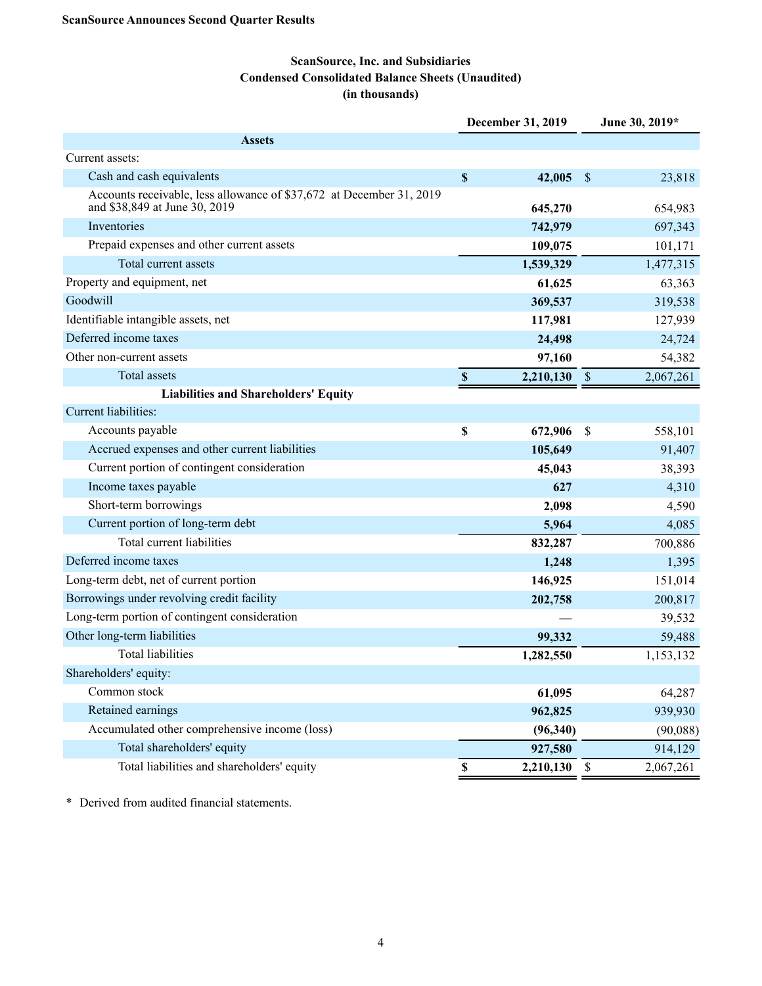## **ScanSource, Inc. and Subsidiaries Condensed Consolidated Balance Sheets (Unaudited) (in thousands)**

|                                                                                                       |                    | December 31, 2019 | June 30, 2019*            |           |  |  |
|-------------------------------------------------------------------------------------------------------|--------------------|-------------------|---------------------------|-----------|--|--|
| <b>Assets</b>                                                                                         |                    |                   |                           |           |  |  |
| Current assets:                                                                                       |                    |                   |                           |           |  |  |
| Cash and cash equivalents                                                                             | $\pmb{\mathbb{S}}$ | 42,005            | $\mathcal{S}$             | 23,818    |  |  |
| Accounts receivable, less allowance of \$37,672 at December 31, 2019<br>and \$38,849 at June 30, 2019 |                    | 645,270           |                           | 654,983   |  |  |
| Inventories                                                                                           |                    | 742,979           |                           | 697,343   |  |  |
| Prepaid expenses and other current assets                                                             |                    | 109,075           |                           | 101,171   |  |  |
| Total current assets                                                                                  |                    | 1,539,329         |                           | 1,477,315 |  |  |
| Property and equipment, net                                                                           |                    | 61,625            |                           | 63,363    |  |  |
| Goodwill                                                                                              |                    | 369,537           |                           | 319,538   |  |  |
| Identifiable intangible assets, net                                                                   |                    | 117,981           |                           | 127,939   |  |  |
| Deferred income taxes                                                                                 |                    | 24,498            |                           | 24,724    |  |  |
| Other non-current assets                                                                              |                    | 97,160            |                           | 54,382    |  |  |
| <b>Total assets</b>                                                                                   | $\mathbb S$        | 2,210,130         | $\boldsymbol{\mathsf{S}}$ | 2,067,261 |  |  |
| <b>Liabilities and Shareholders' Equity</b>                                                           |                    |                   |                           |           |  |  |
| Current liabilities:                                                                                  |                    |                   |                           |           |  |  |
| Accounts payable                                                                                      | \$                 | 672,906           | S                         | 558,101   |  |  |
| Accrued expenses and other current liabilities                                                        |                    | 105,649           |                           | 91,407    |  |  |
| Current portion of contingent consideration                                                           |                    | 45,043            |                           | 38,393    |  |  |
| Income taxes payable                                                                                  |                    | 627               |                           | 4,310     |  |  |
| Short-term borrowings                                                                                 |                    | 2,098             |                           | 4,590     |  |  |
| Current portion of long-term debt                                                                     |                    | 5,964             |                           | 4,085     |  |  |
| Total current liabilities                                                                             |                    | 832,287           |                           | 700,886   |  |  |
| Deferred income taxes                                                                                 |                    | 1,248             |                           | 1,395     |  |  |
| Long-term debt, net of current portion                                                                |                    | 146,925           |                           | 151,014   |  |  |
| Borrowings under revolving credit facility                                                            |                    | 202,758           |                           | 200,817   |  |  |
| Long-term portion of contingent consideration                                                         |                    |                   |                           | 39,532    |  |  |
| Other long-term liabilities                                                                           |                    | 99,332            |                           | 59,488    |  |  |
| <b>Total liabilities</b>                                                                              |                    | 1,282,550         |                           | 1,153,132 |  |  |
| Shareholders' equity:                                                                                 |                    |                   |                           |           |  |  |
| Common stock                                                                                          |                    | 61,095            |                           | 64,287    |  |  |
| Retained earnings                                                                                     |                    | 962,825           |                           | 939,930   |  |  |
| Accumulated other comprehensive income (loss)                                                         |                    | (96, 340)         |                           | (90,088)  |  |  |
| Total shareholders' equity                                                                            |                    | 927,580           |                           | 914,129   |  |  |
| Total liabilities and shareholders' equity                                                            | $\mathbb S$        | 2,210,130         | \$                        | 2,067,261 |  |  |

\* Derived from audited financial statements.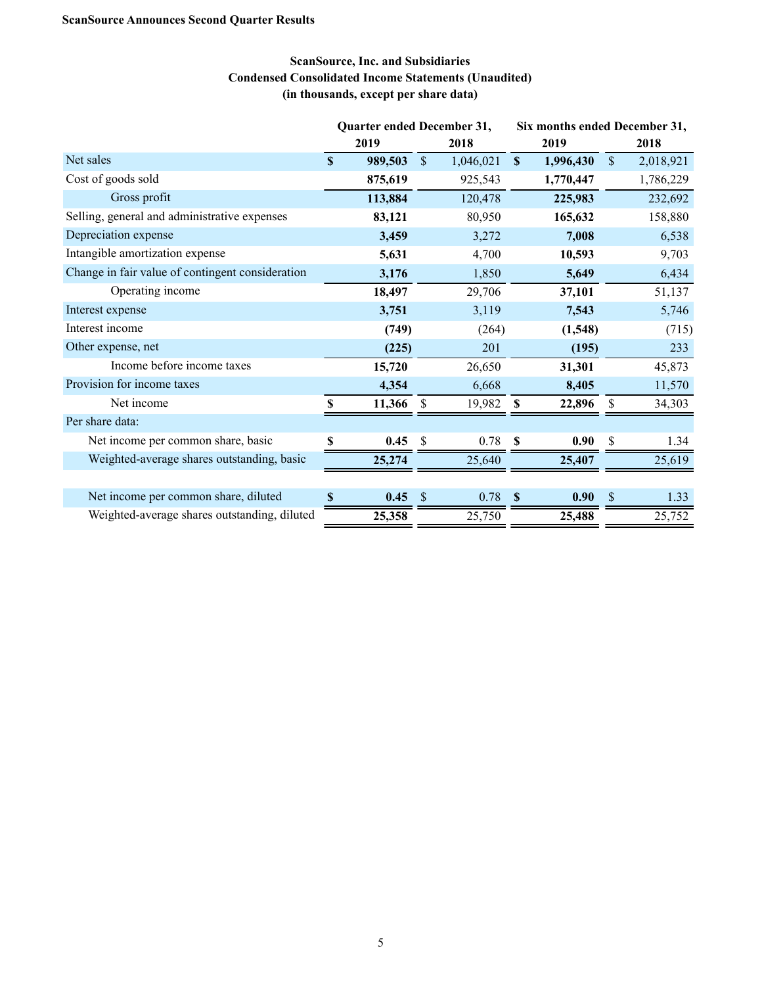## **ScanSource, Inc. and Subsidiaries Condensed Consolidated Income Statements (Unaudited) (in thousands, except per share data)**

|                                                  |              | Quarter ended December 31, |               |           |              |           | Six months ended December 31, |           |  |
|--------------------------------------------------|--------------|----------------------------|---------------|-----------|--------------|-----------|-------------------------------|-----------|--|
|                                                  | 2019         |                            |               | 2018      |              | 2019      |                               | 2018      |  |
| Net sales                                        | $\mathbf{s}$ | 989,503                    | $\mathcal{S}$ | 1,046,021 | $\mathbf{s}$ | 1,996,430 | \$                            | 2,018,921 |  |
| Cost of goods sold                               |              | 875,619                    |               | 925,543   |              | 1,770,447 |                               | 1,786,229 |  |
| Gross profit                                     |              | 113,884                    |               | 120,478   |              | 225,983   |                               | 232,692   |  |
| Selling, general and administrative expenses     |              | 83,121                     |               | 80,950    |              | 165,632   |                               | 158,880   |  |
| Depreciation expense                             |              | 3,459                      |               | 3,272     |              | 7,008     |                               | 6,538     |  |
| Intangible amortization expense                  |              | 5,631                      |               | 4,700     |              | 10,593    |                               | 9,703     |  |
| Change in fair value of contingent consideration |              | 3,176                      |               | 1,850     |              | 5,649     |                               | 6,434     |  |
| Operating income                                 |              | 18,497                     |               | 29,706    |              | 37,101    |                               | 51,137    |  |
| Interest expense                                 |              | 3,751                      |               | 3,119     |              | 7,543     |                               | 5,746     |  |
| Interest income                                  |              | (749)                      |               | (264)     |              | (1,548)   |                               | (715)     |  |
| Other expense, net                               |              | (225)                      |               | 201       |              | (195)     |                               | 233       |  |
| Income before income taxes                       |              | 15,720                     |               | 26,650    |              | 31,301    |                               | 45,873    |  |
| Provision for income taxes                       |              | 4,354                      |               | 6,668     |              | 8,405     |                               | 11,570    |  |
| Net income                                       | \$.          | 11,366                     | -S            | 19,982    | -S           | 22,896    | S                             | 34,303    |  |
| Per share data:                                  |              |                            |               |           |              |           |                               |           |  |
| Net income per common share, basic               | \$           | 0.45                       | <sup>\$</sup> | 0.78      | <b>S</b>     | 0.90      | \$                            | 1.34      |  |
| Weighted-average shares outstanding, basic       |              | 25,274                     |               | 25,640    |              | 25,407    |                               | 25,619    |  |
|                                                  |              |                            |               |           |              |           |                               |           |  |
| Net income per common share, diluted             | S            | 0.45                       | <sup>S</sup>  | 0.78      | <b>S</b>     | 0.90      | S                             | 1.33      |  |
| Weighted-average shares outstanding, diluted     |              | 25,358                     |               | 25,750    |              | 25,488    |                               | 25,752    |  |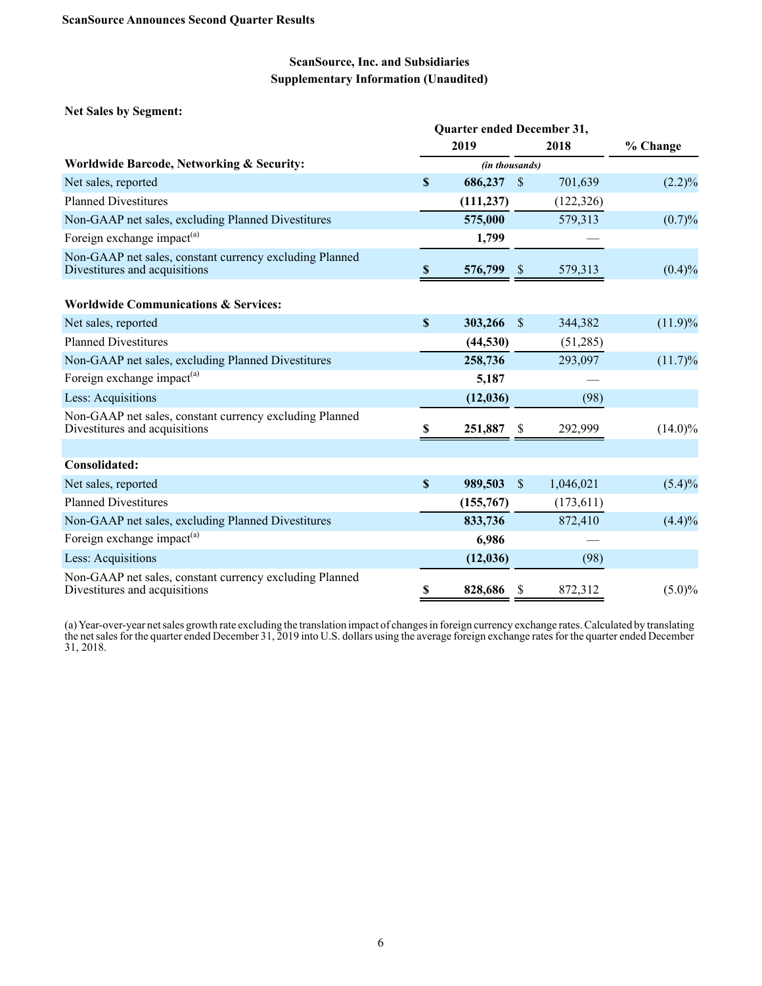**Net Sales by Segment:**

|                                                                                          | <b>Quarter ended December 31,</b> |                |               |            |            |
|------------------------------------------------------------------------------------------|-----------------------------------|----------------|---------------|------------|------------|
|                                                                                          |                                   | 2019           |               | 2018       | % Change   |
| <b>Worldwide Barcode, Networking &amp; Security:</b>                                     |                                   | (in thousands) |               |            |            |
| Net sales, reported                                                                      | S                                 | 686,237        | -S            | 701,639    | $(2.2)\%$  |
| <b>Planned Divestitures</b>                                                              |                                   | (111, 237)     |               | (122, 326) |            |
| Non-GAAP net sales, excluding Planned Divestitures                                       |                                   | 575,000        |               | 579,313    | $(0.7)\%$  |
| Foreign exchange impact <sup>(a)</sup>                                                   |                                   | 1,799          |               |            |            |
| Non-GAAP net sales, constant currency excluding Planned<br>Divestitures and acquisitions | $\mathbf s$                       | 576,799        |               | 579,313    | $(0.4)\%$  |
| <b>Worldwide Communications &amp; Services:</b>                                          |                                   |                |               |            |            |
| Net sales, reported                                                                      | $\mathbf{s}$                      | 303,266        | <sup>\$</sup> | 344,382    | $(11.9)\%$ |
| <b>Planned Divestitures</b>                                                              |                                   | (44, 530)      |               | (51,285)   |            |
| Non-GAAP net sales, excluding Planned Divestitures                                       |                                   | 258,736        |               | 293,097    | $(11.7)\%$ |
| Foreign exchange impact <sup>(a)</sup>                                                   |                                   | 5,187          |               |            |            |
| Less: Acquisitions                                                                       |                                   | (12, 036)      |               | (98)       |            |
| Non-GAAP net sales, constant currency excluding Planned<br>Divestitures and acquisitions | S                                 | 251,887        | S             | 292,999    | $(14.0)\%$ |
|                                                                                          |                                   |                |               |            |            |
| Consolidated:                                                                            |                                   |                |               |            |            |
| Net sales, reported                                                                      | S                                 | 989,503        | $\mathbf{\$}$ | 1,046,021  | $(5.4)\%$  |
| <b>Planned Divestitures</b>                                                              |                                   | (155,767)      |               | (173, 611) |            |
| Non-GAAP net sales, excluding Planned Divestitures                                       |                                   | 833,736        |               | 872,410    | $(4.4)\%$  |
| Foreign exchange impact <sup>(a)</sup>                                                   |                                   | 6,986          |               |            |            |
| Less: Acquisitions                                                                       |                                   | (12, 036)      |               | (98)       |            |
| Non-GAAP net sales, constant currency excluding Planned<br>Divestitures and acquisitions | \$                                | 828,686        | <sup>\$</sup> | 872,312    | $(5.0)\%$  |

(a) Year-over-year net sales growth rate excluding the translation impact of changes in foreign currency exchange rates. Calculated by translating the net sales for the quarter ended December 31, 2019 into U.S. dollars using the average foreign exchange rates for the quarter ended December 31, 2018.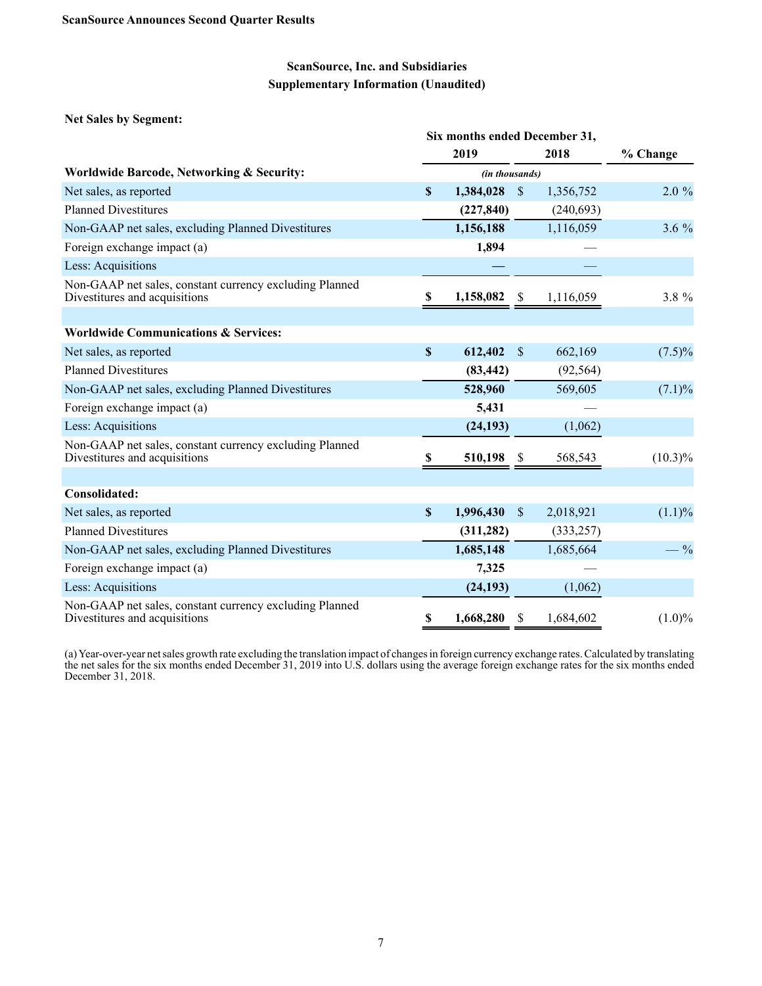**Net Sales by Segment:**

|                                                                                          | Six months ended December 31, |                |               |            |            |
|------------------------------------------------------------------------------------------|-------------------------------|----------------|---------------|------------|------------|
|                                                                                          |                               | 2019           |               | 2018       | % Change   |
| <b>Worldwide Barcode, Networking &amp; Security:</b>                                     |                               | (in thousands) |               |            |            |
| Net sales, as reported                                                                   | \$                            | 1,384,028      | $\mathcal{S}$ | 1,356,752  | $2.0 \%$   |
| <b>Planned Divestitures</b>                                                              |                               | (227, 840)     |               | (240, 693) |            |
| Non-GAAP net sales, excluding Planned Divestitures                                       |                               | 1,156,188      |               | 1,116,059  | $3.6\%$    |
| Foreign exchange impact (a)                                                              |                               | 1,894          |               |            |            |
| Less: Acquisitions                                                                       |                               |                |               |            |            |
| Non-GAAP net sales, constant currency excluding Planned<br>Divestitures and acquisitions | \$                            | 1,158,082      | <sup>8</sup>  | 1,116,059  | 3.8 %      |
| <b>Worldwide Communications &amp; Services:</b>                                          |                               |                |               |            |            |
| Net sales, as reported                                                                   | \$                            | 612,402        | \$.           | 662,169    | $(7.5)\%$  |
| <b>Planned Divestitures</b>                                                              |                               | (83, 442)      |               | (92, 564)  |            |
| Non-GAAP net sales, excluding Planned Divestitures                                       |                               | 528,960        |               | 569,605    | $(7.1)\%$  |
| Foreign exchange impact (a)                                                              |                               | 5,431          |               |            |            |
| Less: Acquisitions                                                                       |                               | (24, 193)      |               | (1,062)    |            |
| Non-GAAP net sales, constant currency excluding Planned<br>Divestitures and acquisitions | S                             | 510,198        | S             | 568,543    | $(10.3)\%$ |
|                                                                                          |                               |                |               |            |            |
| Consolidated:                                                                            |                               |                |               |            |            |
| Net sales, as reported                                                                   | \$                            | 1,996,430      | $\mathbb{S}$  | 2,018,921  | $(1.1)\%$  |
| <b>Planned Divestitures</b>                                                              |                               | (311, 282)     |               | (333, 257) |            |
| Non-GAAP net sales, excluding Planned Divestitures                                       |                               | 1,685,148      |               | 1,685,664  | $-$ %      |
| Foreign exchange impact (a)                                                              |                               | 7,325          |               |            |            |
| Less: Acquisitions                                                                       |                               | (24, 193)      |               | (1,062)    |            |
| Non-GAAP net sales, constant currency excluding Planned<br>Divestitures and acquisitions | \$                            | 1,668,280      | \$            | 1,684,602  | $(1.0)\%$  |

(a) Year-over-year net sales growth rate excluding the translation impact of changes in foreign currency exchange rates. Calculated by translating the net sales for the six months ended December 31, 2019 into U.S. dollars using the average foreign exchange rates for the six months ended December 31, 2018.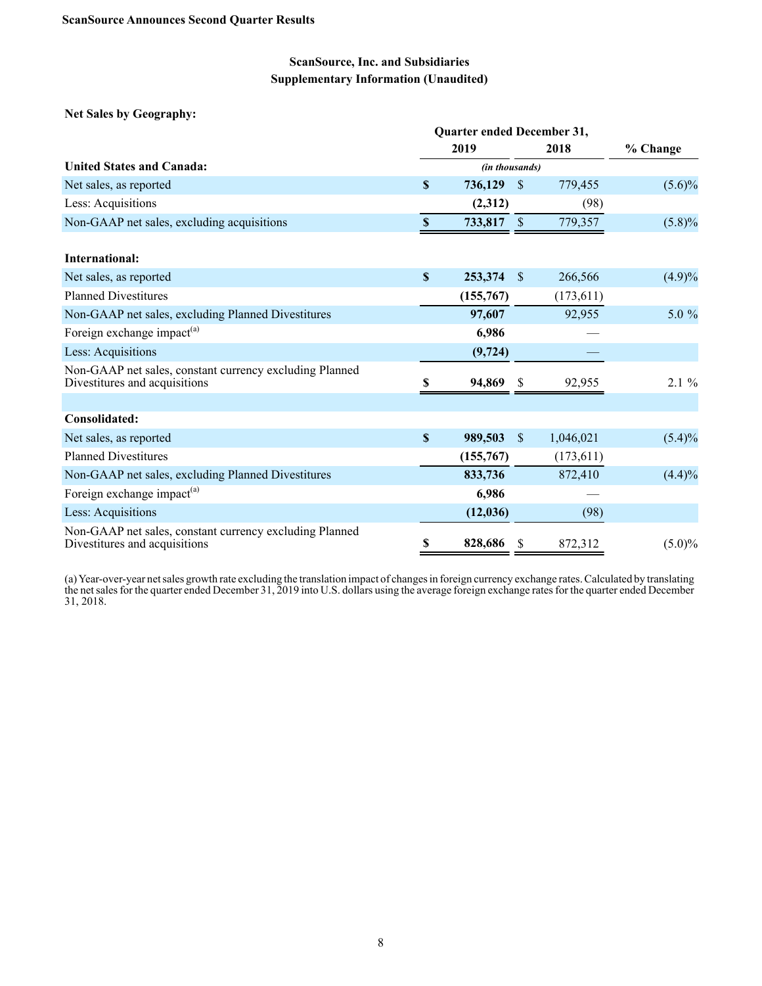**Net Sales by Geography:**

|                                                                                          | Quarter ended December 31, |                |              |            |           |
|------------------------------------------------------------------------------------------|----------------------------|----------------|--------------|------------|-----------|
|                                                                                          |                            | 2019           |              | 2018       | % Change  |
| <b>United States and Canada:</b>                                                         |                            | (in thousands) |              |            |           |
| Net sales, as reported                                                                   | S                          | 736,129        | <sup>S</sup> | 779,455    | $(5.6)\%$ |
| Less: Acquisitions                                                                       |                            | (2,312)        |              | (98)       |           |
| Non-GAAP net sales, excluding acquisitions                                               | $\mathbf{\$}$              | 733,817        | $\sqrt{3}$   | 779,357    | $(5.8)\%$ |
| International:                                                                           |                            |                |              |            |           |
| Net sales, as reported                                                                   | $\mathbf{s}$               | 253,374        | -\$          | 266,566    | (4.9)%    |
| <b>Planned Divestitures</b>                                                              |                            | (155,767)      |              | (173, 611) |           |
| Non-GAAP net sales, excluding Planned Divestitures                                       |                            | 97,607         |              | 92,955     | 5.0 %     |
| Foreign exchange impact <sup>(a)</sup>                                                   |                            | 6,986          |              |            |           |
| Less: Acquisitions                                                                       |                            | (9, 724)       |              |            |           |
| Non-GAAP net sales, constant currency excluding Planned<br>Divestitures and acquisitions | S                          | 94,869         |              | 92,955     | $2.1 \%$  |
|                                                                                          |                            |                |              |            |           |
| Consolidated:                                                                            |                            |                |              |            |           |
| Net sales, as reported                                                                   | $\mathbf S$                | 989,503        | -S           | 1,046,021  | $(5.4)\%$ |
| <b>Planned Divestitures</b>                                                              |                            | (155,767)      |              | (173, 611) |           |
| Non-GAAP net sales, excluding Planned Divestitures                                       |                            | 833,736        |              | 872,410    | (4.4)%    |
| Foreign exchange impact <sup>(a)</sup>                                                   |                            | 6,986          |              |            |           |
| Less: Acquisitions                                                                       |                            | (12, 036)      |              | (98)       |           |
| Non-GAAP net sales, constant currency excluding Planned<br>Divestitures and acquisitions | \$                         | 828,686        | S            | 872,312    | $(5.0)\%$ |

(a) Year-over-year net sales growth rate excluding the translation impact of changes in foreign currency exchange rates. Calculated by translating the net sales for the quarter ended December 31, 2019 into U.S. dollars using the average foreign exchange rates for the quarter ended December 31, 2018.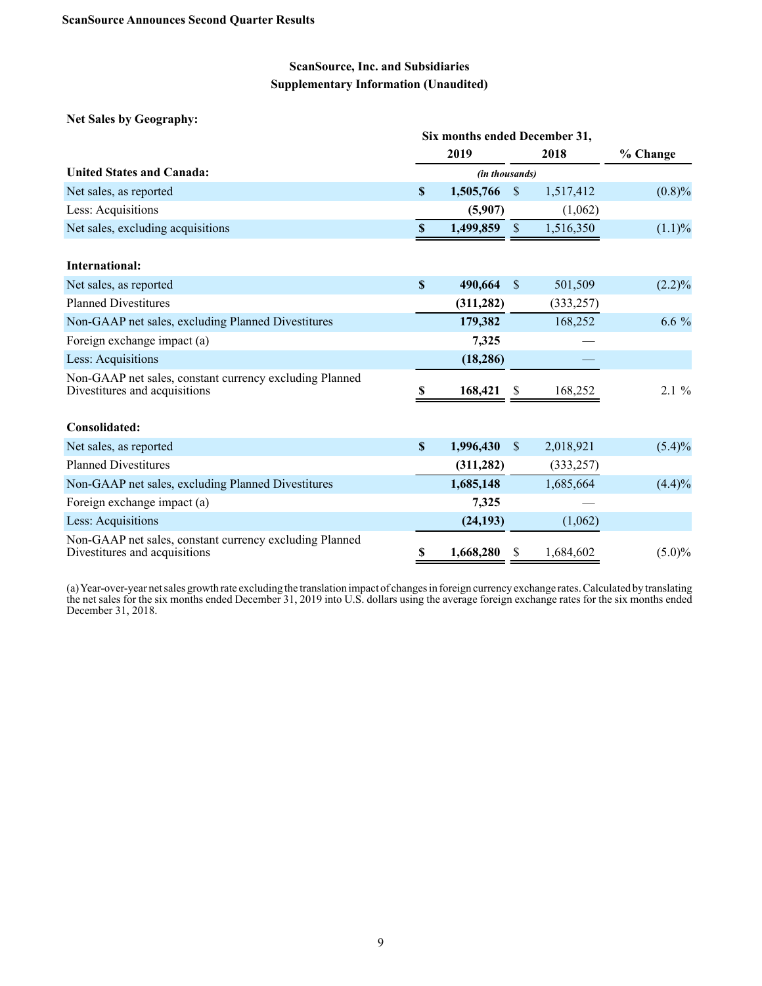**Net Sales by Geography:**

|                                                                                          |             | Six months ended December 31, |               |            |           |  |  |  |  |
|------------------------------------------------------------------------------------------|-------------|-------------------------------|---------------|------------|-----------|--|--|--|--|
|                                                                                          |             | 2019                          |               | 2018       | % Change  |  |  |  |  |
| <b>United States and Canada:</b>                                                         |             | (in thousands)                |               |            |           |  |  |  |  |
| Net sales, as reported                                                                   | \$          | 1,505,766                     | <sup>S</sup>  | 1,517,412  | $(0.8)\%$ |  |  |  |  |
| Less: Acquisitions                                                                       |             | (5,907)                       |               | (1,062)    |           |  |  |  |  |
| Net sales, excluding acquisitions                                                        | $\mathbb S$ | 1,499,859                     | $\mathbb{S}$  | 1,516,350  | $(1.1)\%$ |  |  |  |  |
| <b>International:</b>                                                                    |             |                               |               |            |           |  |  |  |  |
| Net sales, as reported                                                                   | \$          | 490,664                       | <sup>\$</sup> | 501,509    | $(2.2)\%$ |  |  |  |  |
| <b>Planned Divestitures</b>                                                              |             | (311, 282)                    |               | (333, 257) |           |  |  |  |  |
| Non-GAAP net sales, excluding Planned Divestitures                                       |             | 179,382                       |               | 168,252    | $6.6\%$   |  |  |  |  |
| Foreign exchange impact (a)                                                              |             | 7,325                         |               |            |           |  |  |  |  |
| Less: Acquisitions                                                                       |             | (18, 286)                     |               |            |           |  |  |  |  |
| Non-GAAP net sales, constant currency excluding Planned<br>Divestitures and acquisitions | S           | 168,421                       | <b>S</b>      | 168,252    | $2.1 \%$  |  |  |  |  |
| Consolidated:                                                                            |             |                               |               |            |           |  |  |  |  |
| Net sales, as reported                                                                   | $\mathbf S$ | 1,996,430                     | <sup>S</sup>  | 2,018,921  | $(5.4)\%$ |  |  |  |  |
| <b>Planned Divestitures</b>                                                              |             | (311, 282)                    |               | (333, 257) |           |  |  |  |  |
| Non-GAAP net sales, excluding Planned Divestitures                                       |             | 1,685,148                     |               | 1,685,664  | (4.4)%    |  |  |  |  |
| Foreign exchange impact (a)                                                              |             | 7,325                         |               |            |           |  |  |  |  |
| Less: Acquisitions                                                                       |             | (24, 193)                     |               | (1,062)    |           |  |  |  |  |
| Non-GAAP net sales, constant currency excluding Planned<br>Divestitures and acquisitions | \$          | 1,668,280                     | S             | 1,684,602  | $(5.0)\%$ |  |  |  |  |

(a) Year-over-year net sales growth rate excluding the translation impact of changes in foreign currency exchange rates. Calculated by translating the net sales for the six months ended December 31, 2019 into U.S. dollars using the average foreign exchange rates for the six months ended December 31, 2018.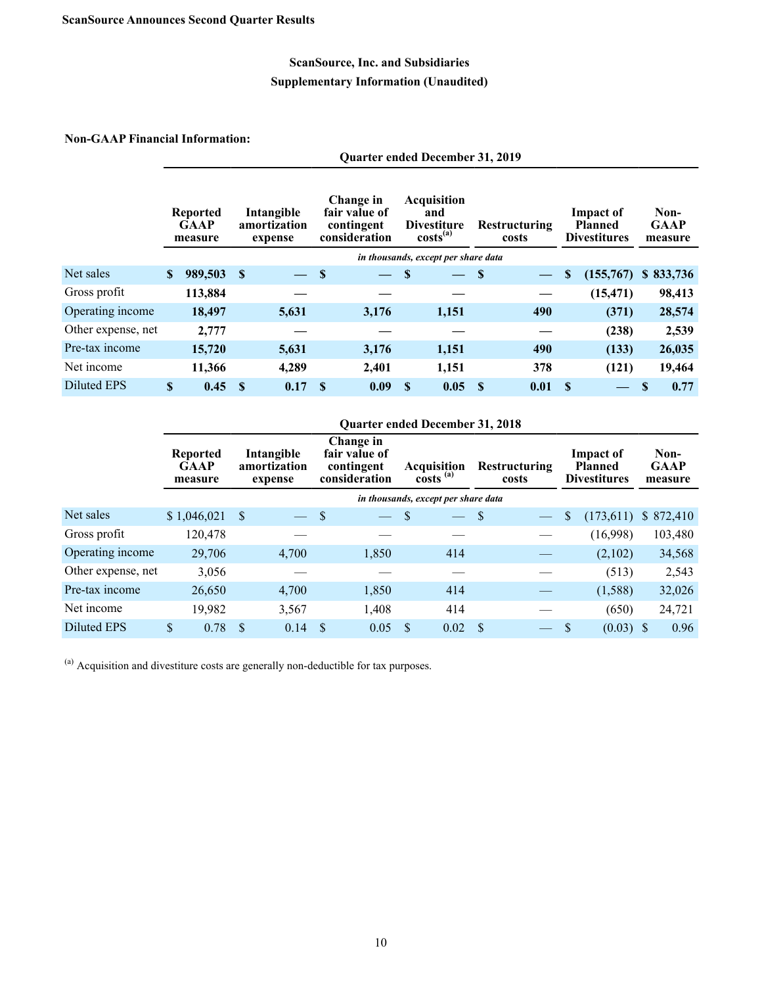#### **Non-GAAP Financial Information:**

|                    |                                           |         |          |                                       |                                                           | <b>Quarter ended December 31, 2019</b> |                                                                         |                                     |                               |                          |          |                                                           |          |                                |
|--------------------|-------------------------------------------|---------|----------|---------------------------------------|-----------------------------------------------------------|----------------------------------------|-------------------------------------------------------------------------|-------------------------------------|-------------------------------|--------------------------|----------|-----------------------------------------------------------|----------|--------------------------------|
|                    | <b>Reported</b><br><b>GAAP</b><br>measure |         |          | Intangible<br>amortization<br>expense | Change in<br>fair value of<br>contingent<br>consideration |                                        | <b>Acquisition</b><br>and<br><b>Divestiture</b><br>costs <sup>(a)</sup> |                                     | <b>Restructuring</b><br>costs |                          |          | <b>Impact of</b><br><b>Planned</b><br><b>Divestitures</b> |          | Non-<br><b>GAAP</b><br>measure |
|                    |                                           |         |          |                                       |                                                           |                                        |                                                                         | in thousands, except per share data |                               |                          |          |                                                           |          |                                |
| Net sales          | \$                                        | 989,503 | S        |                                       | <b>S</b>                                                  |                                        | <sup>\$</sup>                                                           | $\qquad \qquad -$                   | S                             | $\overline{\phantom{0}}$ | \$       | (155,767)                                                 |          | \$833,736                      |
| Gross profit       |                                           | 113,884 |          |                                       |                                                           |                                        |                                                                         |                                     |                               |                          |          | (15, 471)                                                 |          | 98,413                         |
| Operating income   |                                           | 18,497  |          | 5,631                                 |                                                           | 3,176                                  |                                                                         | 1,151                               |                               | 490                      |          | (371)                                                     |          | 28,574                         |
| Other expense, net |                                           | 2,777   |          |                                       |                                                           |                                        |                                                                         |                                     |                               |                          |          | (238)                                                     |          | 2,539                          |
| Pre-tax income     |                                           | 15,720  |          | 5,631                                 |                                                           | 3,176                                  |                                                                         | 1,151                               |                               | 490                      |          | (133)                                                     |          | 26,035                         |
| Net income         |                                           | 11,366  |          | 4,289                                 |                                                           | 2,401                                  |                                                                         | 1,151                               |                               | 378                      |          | (121)                                                     |          | 19,464                         |
| <b>Diluted EPS</b> | \$                                        | 0.45    | <b>S</b> | 0.17                                  | <b>S</b>                                                  | 0.09                                   | <b>S</b>                                                                | 0.05                                | <b>S</b>                      | 0.01                     | <b>S</b> |                                                           | <b>S</b> | 0.77                           |

#### **Quarter ended December 31, 2018**

|                    | Reported<br><b>GAAP</b><br>measure | Change in<br>fair value of<br>Intangible<br>amortization<br>Acquisition<br>contingent<br><b>Restructuring</b><br>$costs^{(a)}$<br>consideration<br>costs<br>expense |       | <b>Impact of</b><br><b>Planned</b><br><b>Divestitures</b> |                          |               | Non-<br><b>GAAP</b><br>measure      |     |                          |   |             |  |           |
|--------------------|------------------------------------|---------------------------------------------------------------------------------------------------------------------------------------------------------------------|-------|-----------------------------------------------------------|--------------------------|---------------|-------------------------------------|-----|--------------------------|---|-------------|--|-----------|
|                    |                                    |                                                                                                                                                                     |       |                                                           |                          |               | in thousands, except per share data |     |                          |   |             |  |           |
| Net sales          | \$1,046,021                        | S                                                                                                                                                                   |       | <sup>\$</sup>                                             | $\overline{\phantom{a}}$ | \$            | $\overline{\phantom{a}}$            | S   | $\overline{\phantom{m}}$ | S | (173,611)   |  | \$872,410 |
| Gross profit       | 120,478                            |                                                                                                                                                                     |       |                                                           |                          |               |                                     |     |                          |   | (16,998)    |  | 103,480   |
| Operating income   | 29,706                             |                                                                                                                                                                     | 4,700 |                                                           | 1,850                    |               | 414                                 |     |                          |   | (2,102)     |  | 34,568    |
| Other expense, net | 3,056                              |                                                                                                                                                                     |       |                                                           |                          |               |                                     |     |                          |   | (513)       |  | 2,543     |
| Pre-tax income     | 26,650                             |                                                                                                                                                                     | 4,700 |                                                           | 1,850                    |               | 414                                 |     |                          |   | (1,588)     |  | 32,026    |
| Net income         | 19,982                             |                                                                                                                                                                     | 3,567 |                                                           | 1,408                    |               | 414                                 |     |                          |   | (650)       |  | 24,721    |
| <b>Diluted EPS</b> | \$<br>0.78                         | \$.                                                                                                                                                                 | 0.14  | <sup>S</sup>                                              | 0.05                     | <sup>\$</sup> | 0.02                                | \$. | —                        |   | $(0.03)$ \$ |  | 0.96      |

(a) Acquisition and divestiture costs are generally non-deductible for tax purposes.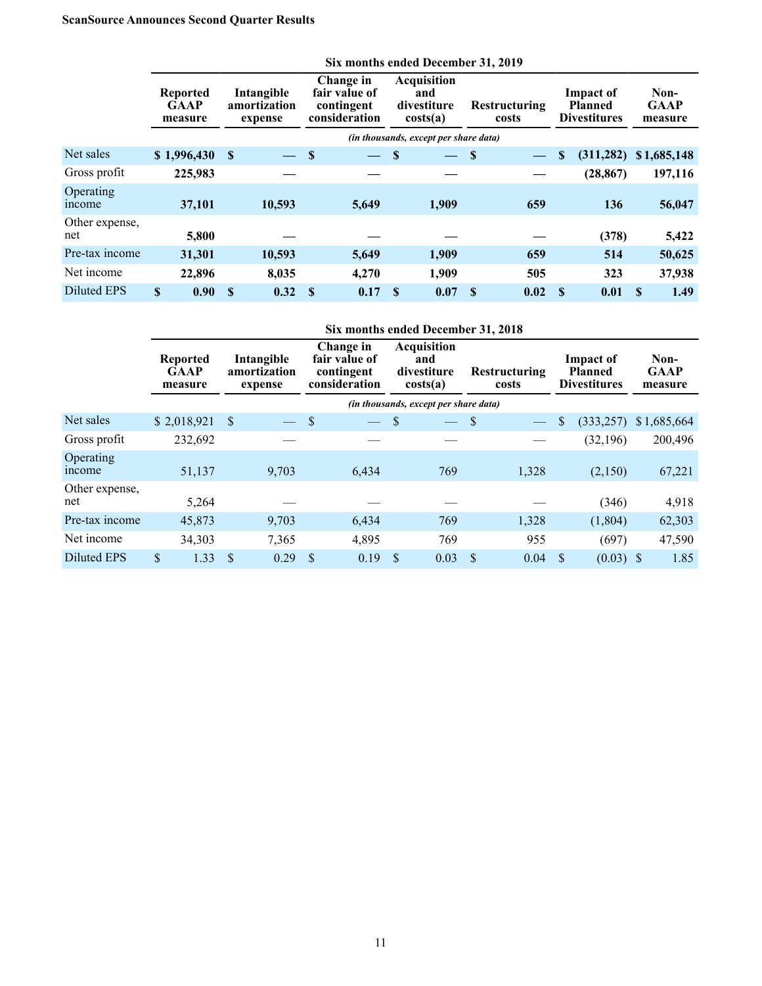## **ScanSource Announces Second Quarter Results**

|                       |                                           |                                       |                                                           | Six months ended December 31, 2019 |                                                      |                                       |                               |      |                                                    |            |          |                                |
|-----------------------|-------------------------------------------|---------------------------------------|-----------------------------------------------------------|------------------------------------|------------------------------------------------------|---------------------------------------|-------------------------------|------|----------------------------------------------------|------------|----------|--------------------------------|
|                       | <b>Reported</b><br><b>GAAP</b><br>measure | Intangible<br>amortization<br>expense | Change in<br>fair value of<br>contingent<br>consideration |                                    | <b>Acquisition</b><br>and<br>divestiture<br>costs(a) |                                       | <b>Restructuring</b><br>costs |      | Impact of<br><b>Planned</b><br><b>Divestitures</b> |            |          | Non-<br><b>GAAP</b><br>measure |
|                       |                                           |                                       |                                                           |                                    |                                                      | (in thousands, except per share data) |                               |      |                                                    |            |          |                                |
| Net sales             | \$1,996,430                               | $\mathbf{s}$                          | S                                                         |                                    | S                                                    |                                       | \$                            |      | \$                                                 | (311, 282) |          | \$1,685,148                    |
| Gross profit          | 225,983                                   |                                       |                                                           |                                    |                                                      |                                       |                               |      |                                                    | (28, 867)  |          | 197,116                        |
| Operating<br>income   | 37,101                                    | 10,593                                |                                                           | 5,649                              |                                                      | 1,909                                 |                               | 659  |                                                    | 136        |          | 56,047                         |
| Other expense,<br>net | 5,800                                     |                                       |                                                           |                                    |                                                      |                                       |                               |      |                                                    | (378)      |          | 5,422                          |
| Pre-tax income        | 31,301                                    | 10,593                                |                                                           | 5,649                              |                                                      | 1,909                                 |                               | 659  |                                                    | 514        |          | 50,625                         |
| Net income            | 22,896                                    | 8.035                                 |                                                           | 4.270                              |                                                      | 1,909                                 |                               | 505  |                                                    | 323        |          | 37,938                         |
| Diluted EPS           | $\mathbf{s}$<br>0.90                      | <sup>\$</sup><br>0.32                 | <b>S</b>                                                  | 0.17                               | <b>S</b>                                             | 0.07                                  | <b>S</b>                      | 0.02 | -S                                                 | 0.01       | <b>S</b> | 1.49                           |

|                       | Six months ended December 31, 2018        |         |              |                                       |    |                                                           |    |                                                      |               |                               |    |                                                           |  |                                |
|-----------------------|-------------------------------------------|---------|--------------|---------------------------------------|----|-----------------------------------------------------------|----|------------------------------------------------------|---------------|-------------------------------|----|-----------------------------------------------------------|--|--------------------------------|
|                       | <b>Reported</b><br><b>GAAP</b><br>measure |         |              | Intangible<br>amortization<br>expense |    | Change in<br>fair value of<br>contingent<br>consideration |    | <b>Acquisition</b><br>and<br>divestiture<br>costs(a) |               | <b>Restructuring</b><br>costs |    | <b>Impact of</b><br><b>Planned</b><br><b>Divestitures</b> |  | Non-<br><b>GAAP</b><br>measure |
|                       |                                           |         |              |                                       |    |                                                           |    | (in thousands, except per share data)                |               |                               |    |                                                           |  |                                |
| Net sales             | \$2,018,921                               |         | <sup>S</sup> |                                       | \$ |                                                           | S  |                                                      | \$            |                               | \$ | (333, 257)                                                |  | \$1,685,664                    |
| Gross profit          |                                           | 232,692 |              |                                       |    |                                                           |    |                                                      |               |                               |    | (32, 196)                                                 |  | 200,496                        |
| Operating<br>mcome    |                                           | 51,137  |              | 9,703                                 |    | 6,434                                                     |    | 769                                                  |               | 1,328                         |    | (2,150)                                                   |  | 67,221                         |
| Other expense,<br>net |                                           | 5,264   |              |                                       |    |                                                           |    |                                                      |               |                               |    | (346)                                                     |  | 4,918                          |
| Pre-tax income        |                                           | 45,873  |              | 9,703                                 |    | 6,434                                                     |    | 769                                                  |               | 1,328                         |    | (1,804)                                                   |  | 62,303                         |
| Net income            |                                           | 34,303  |              | 7,365                                 |    | 4,895                                                     |    | 769                                                  |               | 955                           |    | (697)                                                     |  | 47,590                         |
| <b>Diluted EPS</b>    | \$                                        | 1.33    | \$           | 0.29                                  | \$ | 0.19                                                      | \$ | 0.03                                                 | <sup>\$</sup> | 0.04                          |    | $(0.03)$ \$                                               |  | 1.85                           |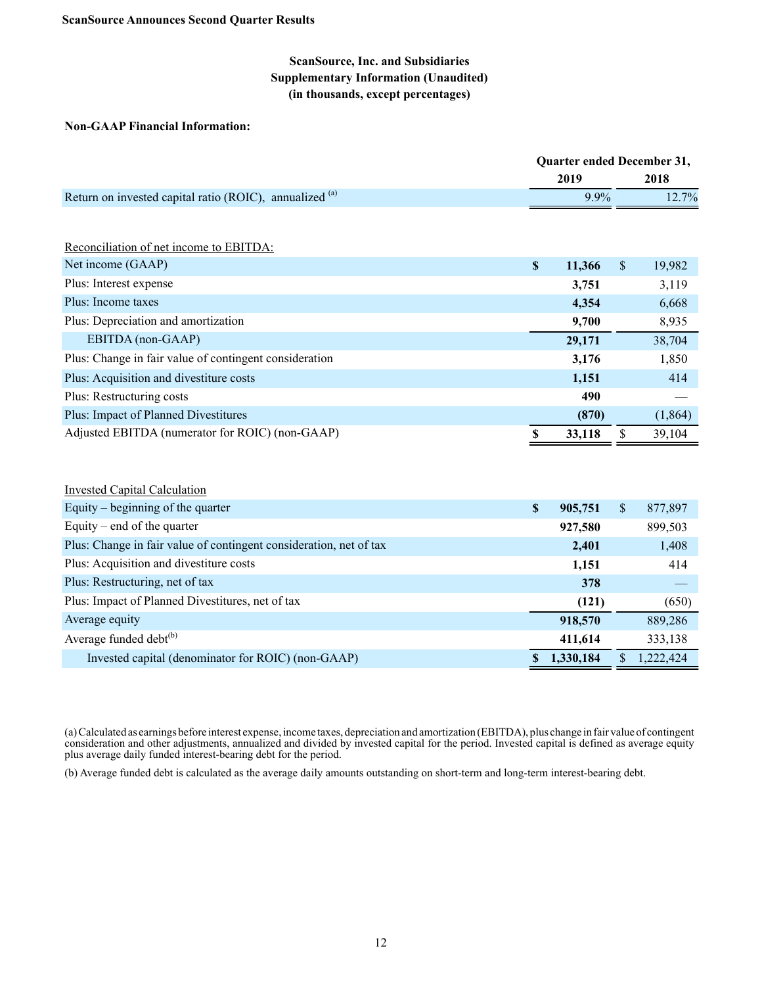## **ScanSource, Inc. and Subsidiaries Supplementary Information (Unaudited) (in thousands, except percentages)**

#### **Non-GAAP Financial Information:**

|                                                         | <b>Ouarter ended December 31,</b> |               |        |
|---------------------------------------------------------|-----------------------------------|---------------|--------|
|                                                         | 2019                              |               | 2018   |
| Return on invested capital ratio (ROIC), annualized (a) | $9.9\%$                           |               | 12.7%  |
|                                                         |                                   |               |        |
| Reconciliation of net income to EBITDA:                 |                                   |               |        |
| Net income (GAAP)                                       | \$<br>11,366                      | <sup>\$</sup> | 19,982 |
| Plus: Interest expense                                  | 3,751                             |               | 3,119  |
| Plus: Income taxes                                      | 4,354                             |               | 6,668  |
| Plus: Depreciation and amortization                     | 0 700                             |               | 8035   |

| 1 rus. Depreendition and amortization                  |        | 2.100 | 0.733    |
|--------------------------------------------------------|--------|-------|----------|
| EBITDA (non-GAAP)                                      | 29,171 |       | 38,704   |
| Plus: Change in fair value of contingent consideration | 3,176  |       | 1,850    |
| Plus: Acquisition and divestiture costs                | 1,151  |       | 414      |
| Plus: Restructuring costs                              |        | 490   |          |
| Plus: Impact of Planned Divestitures                   |        | (870) | (1, 864) |
| Adjusted EBITDA (numerator for ROIC) (non-GAAP)        | 33,118 |       | 39.104   |

| <b>Invested Capital Calculation</b>                                |               |              |           |
|--------------------------------------------------------------------|---------------|--------------|-----------|
| Equity – beginning of the quarter                                  | \$<br>905,751 | $\mathbb{S}$ | 877,897   |
| Equity – end of the quarter                                        | 927,580       |              | 899,503   |
| Plus: Change in fair value of contingent consideration, net of tax | 2,401         |              | 1,408     |
| Plus: Acquisition and divestiture costs                            | 1,151         |              | 414       |
| Plus: Restructuring, net of tax                                    | 378           |              |           |
| Plus: Impact of Planned Divestitures, net of tax                   | (121)         |              | (650)     |
| Average equity                                                     | 918,570       |              | 889,286   |
| Average funded debt <sup>(b)</sup>                                 | 411,614       |              | 333,138   |
| Invested capital (denominator for ROIC) (non-GAAP)                 | 1,330,184     |              | 1,222,424 |

(a) Calculated as earnings before interest expense, income taxes, depreciation and amortization (EBITDA), plus change in fair value of contingent consideration and other adjustments, annualized and divided by invested capital for the period. Invested capital is defined as average equity plus average daily funded interest-bearing debt for the period.

(b) Average funded debt is calculated as the average daily amounts outstanding on short-term and long-term interest-bearing debt.